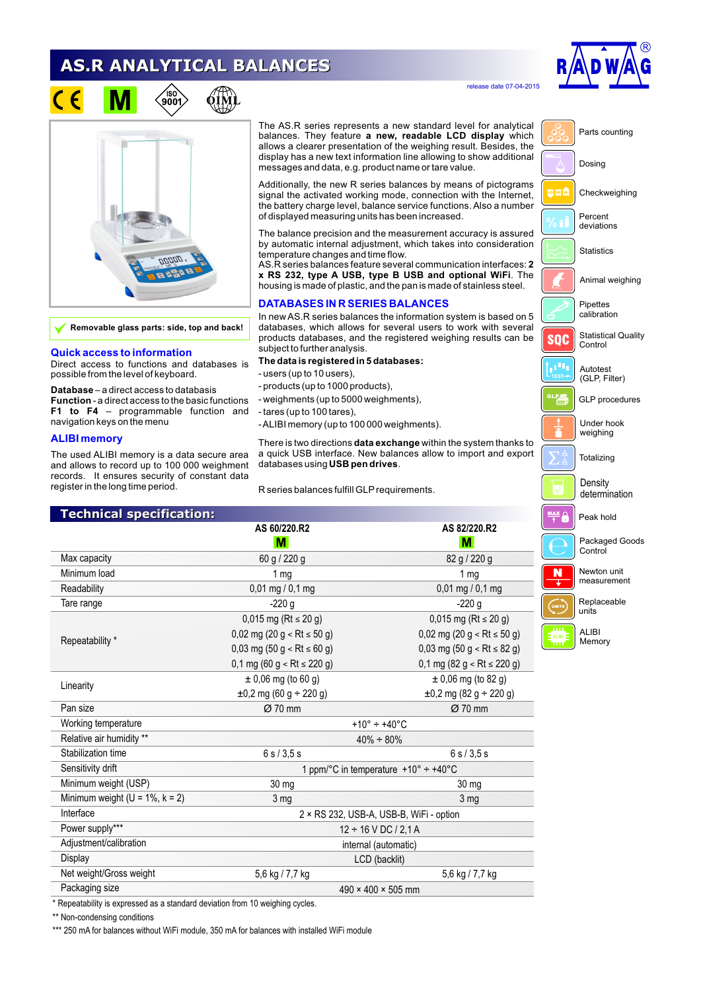# **AS.R ANALYTICAL BALANCES**



release date 07-04-2015



**Removable glass parts: side, top and back!**

### **Quick access to information**

Direct access to functions and databases is possible from the level of keyboard.

**Database** – a direct access to databasis **Function** - a direct access to the basic functions **F1 to F4** – programmable function and navigation keys on the menu

### **ALIBI memory**

The used ALIBI memory is a data secure area and allows to record up to 100 000 weighment records. It ensures security of constant data register in the long time period.

The AS.R series represents a new standard level for analytical balances. They feature **a new, readable LCD display** which allows a clearer presentation of the weighing result. Besides, the display has a new text information line allowing to show additional messages and data, e.g. product name or tare value.

Additionally, the new R series balances by means of pictograms signal the activated working mode, connection with the Internet, the battery charge level, balance service functions. Also a number of displayed measuring units has been increased.

The balance precision and the measurement accuracy is assured by automatic internal adjustment, which takes into consideration temperature changes and time flow.

AS.R series balances feature several communication interfaces: **2 x RS 232, type A USB, type B USB and optional WiFi**. The housing is made of plastic, and the pan is made of stainless steel.

## **DATABASES IN R SERIES BALANCES**

In new AS.R series balances the information system is based on 5 databases, which allows for several users to work with several products databases, and the registered weighing results can be subject to further analysis.

#### **The data is registered in 5 databases:**

- users (up to 10 users),
- products (up to 1000 products),
- weighments (up to 5000 weighments),
- tares (up to 100 tares),
- ALIBI memory (up to 100 000 weighments).

There is two directions **data exchange** within the system thanks to a quick USB interface. New balances allow to import and export databases using **USB pen drives**.

R series balances fulfill GLP requirements.

| <b>Technical specification:</b>        |                                                                |                                                                |
|----------------------------------------|----------------------------------------------------------------|----------------------------------------------------------------|
|                                        | AS 60/220.R2                                                   | AS 82/220.R2                                                   |
|                                        | M                                                              | M                                                              |
| Max capacity                           | 60 g / 220 g                                                   | 82 g / 220 g                                                   |
| Minimum load                           | 1 <sub>mg</sub>                                                | 1 mg                                                           |
| Readability                            | $0,01 \text{ mg} / 0,1 \text{ mg}$                             | $0,01 \text{ mg} / 0,1 \text{ mg}$                             |
| Tare range                             | $-220g$                                                        | $-220g$                                                        |
| Repeatability *                        | 0,015 mg (Rt $\le$ 20 g)                                       | 0,015 mg (Rt $\le$ 20 g)                                       |
|                                        | $0,02$ mg (20 g < Rt ≤ 50 g)                                   | $0,02 \text{ mg } (20 \text{ g} < \text{Rt} \le 50 \text{ g})$ |
|                                        | $0,03 \text{ mg } (50 \text{ g} < \text{Rt} \le 60 \text{ g})$ | 0,03 mg (50 g < Rt $\leq$ 82 g)                                |
|                                        | $0,1 \text{ mg } (60 \text{ g} < \text{Rt} \le 220 \text{ g})$ | 0,1 mg (82 g < Rt $\le$ 220 g)                                 |
|                                        | $± 0,06$ mg (to 60 g)                                          | $\pm$ 0,06 mg (to 82 g)                                        |
| Linearity                              | $\pm 0.2$ mg (60 g ÷ 220 g)                                    | $\pm 0.2$ mg (82 g ÷ 220 g)                                    |
| Pan size                               | $Ø$ 70 mm                                                      | $Ø$ 70 mm                                                      |
| Working temperature                    | +10 $^{\circ}$ ÷ +40 $^{\circ}$ C                              |                                                                |
| Relative air humidity **               | $40\% \div 80\%$                                               |                                                                |
| Stabilization time                     | 6 s / 3.5 s<br>6s/3.5s                                         |                                                                |
| Sensitivity drift                      | 1 ppm/°C in temperature +10° ÷ +40°C                           |                                                                |
| Minimum weight (USP)                   | 30 mg                                                          | 30 mg                                                          |
| Minimum weight ( $U = 1\%$ , $k = 2$ ) | 3 <sub>mg</sub>                                                | 3 mg                                                           |
| Interface                              | 2 × RS 232, USB-A, USB-B, WiFi - option                        |                                                                |
| Power supply***                        | $12 \div 16$ V DC / 2,1 A                                      |                                                                |
| Adjustment/calibration                 | internal (automatic)                                           |                                                                |
| Display                                | LCD (backlit)                                                  |                                                                |
| Net weight/Gross weight                | 5,6 kg / 7,7 kg                                                | 5,6 kg / 7,7 kg                                                |
| Packaging size                         | $490 \times 400 \times 505$ mm                                 |                                                                |

\* Repeatability is expressed as a standard deviation from 10 weighing cycles.

\*\* Non-condensing conditions

\*\*\* 250 mA for balances without WiFi module, 350 mA for balances with installed WiFi module